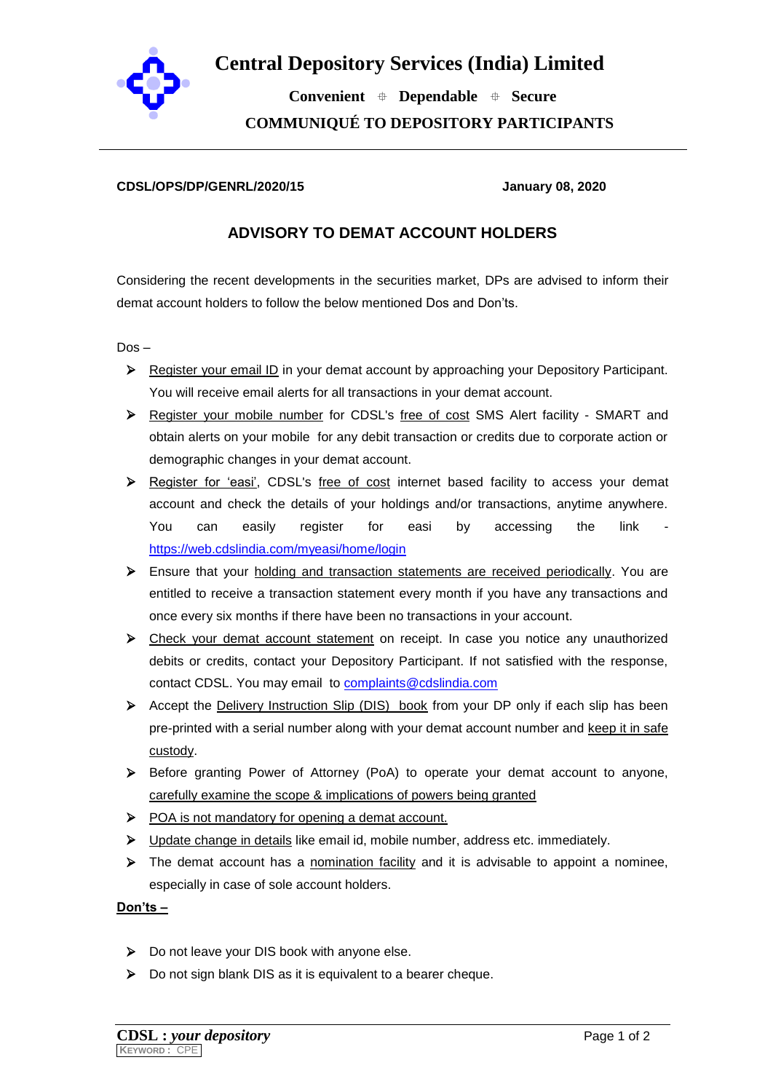

## **Central Depository Services (India) Limited**

 **Convenient Dependable Secure COMMUNIQUÉ TO DEPOSITORY PARTICIPANTS**

## **CDSL/OPS/DP/GENRL/2020/15 January 08, 2020**

## **ADVISORY TO DEMAT ACCOUNT HOLDERS**

Considering the recent developments in the securities market, DPs are advised to inform their demat account holders to follow the below mentioned Dos and Don'ts.

Dos –

- Register your email ID in your demat account by approaching your Depository Participant. You will receive email alerts for all transactions in your demat account.
- Register your mobile number for CDSL's free of cost SMS Alert facility SMART and obtain alerts on your mobile for any debit transaction or credits due to corporate action or demographic changes in your demat account.
- Register for 'easi', CDSL's free of cost internet based facility to access your demat account and check the details of your holdings and/or transactions, anytime anywhere. You can easily register for easi by accessing the link <https://web.cdslindia.com/myeasi/home/login>
- $\triangleright$  Ensure that your holding and transaction statements are received periodically. You are entitled to receive a transaction statement every month if you have any transactions and once every six months if there have been no transactions in your account.
- Check your demat account statement on receipt. In case you notice any unauthorized debits or credits, contact your Depository Participant. If not satisfied with the response, contact CDSL. You may email to [complaints@cdslindia.com](mailto:complaints@cdslindia.com)
- Accept the Delivery Instruction Slip (DIS) book from your DP only if each slip has been pre-printed with a serial number along with your demat account number and keep it in safe custody.
- Before granting Power of Attorney (PoA) to operate your demat account to anyone, carefully examine the scope & implications of powers being granted
- POA is not mandatory for opening a demat account.
- $\triangleright$  Update change in details like email id, mobile number, address etc. immediately.
- $\triangleright$  The demat account has a nomination facility and it is advisable to appoint a nominee, especially in case of sole account holders.

**Don'ts –**

- ▶ Do not leave your DIS book with anyone else.
- ▶ Do not sign blank DIS as it is equivalent to a bearer cheque.